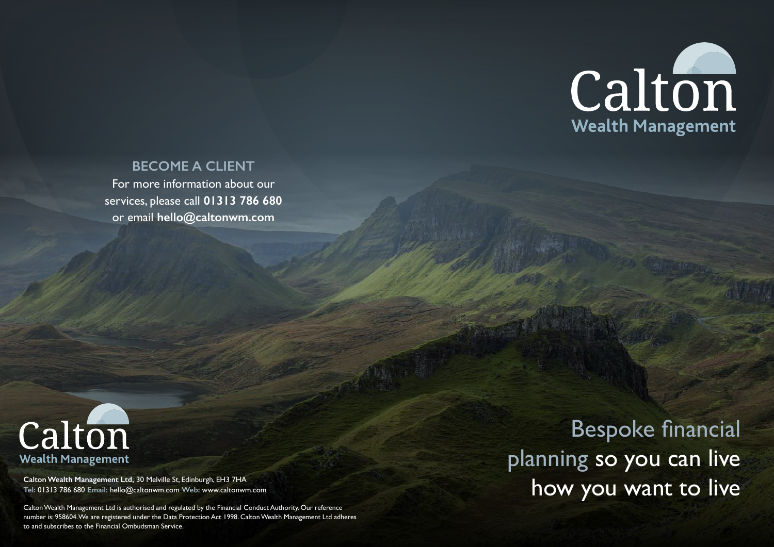**Tel:** 01313 786 680 **Email:** hello@caltonwm.com **Web:** www.caltonwm.com

Calton Wealth Management Ltd is authorised and regulated by the Financial Conduct Authority. Our reference number is: 958604. We are registered under the Data Protection Act 1998. Calton Wealth Management Ltd adheres to and subscribes to the Financial Ombudsman Service.

Bespoke financial planning so you can live Calton Wealth Management Ltd, 30 Melville St, Edinburgh, EH3 7HA<br>Tel: 01313 786 680 Email: hello@caltonwm.com Web: www.caltonwm.com<br>
Calton **NOW YOU WANT TO IIVE** 

# Calton Wealth Management



## **BECOME A CLIENT**

For more information about our services, please call **01313 786 680** or email **hello@caltonwm.com**

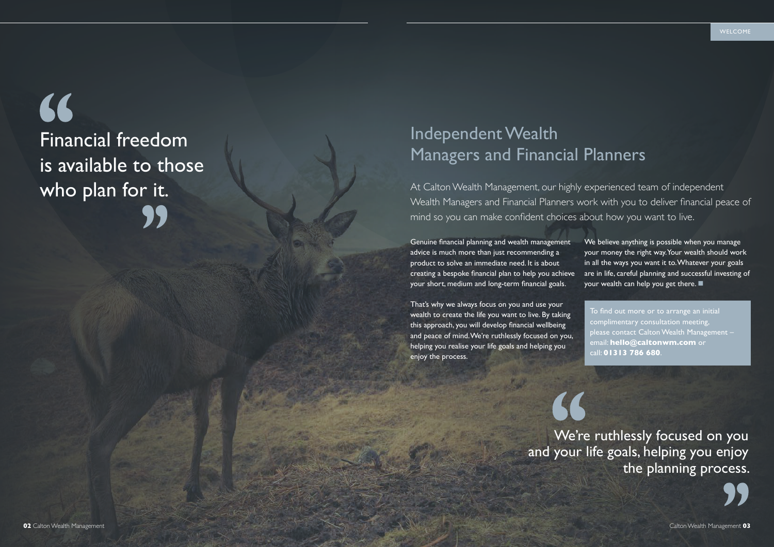Genuine financial planning and wealth management advice is much more than just recommending a product to solve an immediate need. It is about creating a bespoke financial plan to help you achieve your short, medium and long-term financial goals.

We believe anything is possible when you manage your money the right way. Your wealth should work in all the ways you want it to. Whatever your goals are in life, careful planning and successful investing of your wealth can help you get there.  $\blacksquare$ 

That's why we always focus on you and use your wealth to create the life you want to live. By taking this approach, you will develop financial wellbeing and peace of mind. We're ruthlessly focused on you, helping you realise your life goals and helping you enjoy the process.



## 66 Financial freedom is available to those who plan for it.

To find out more or to arrange an initial complimentary consultation meeting, please contact Calton Wealth Management – email: **hello@caltonwm.com** or call: **01313 786 680**.

At Calton Wealth Management, our highly experienced team of independent Wealth Managers and Financial Planners work with you to deliver financial peace of mind so you can make confident choices about how you want to live.

## Independent Wealth Managers and Financial Planners

We're ruthlessly focused on you and your life goals, helping you enjoy the planning process.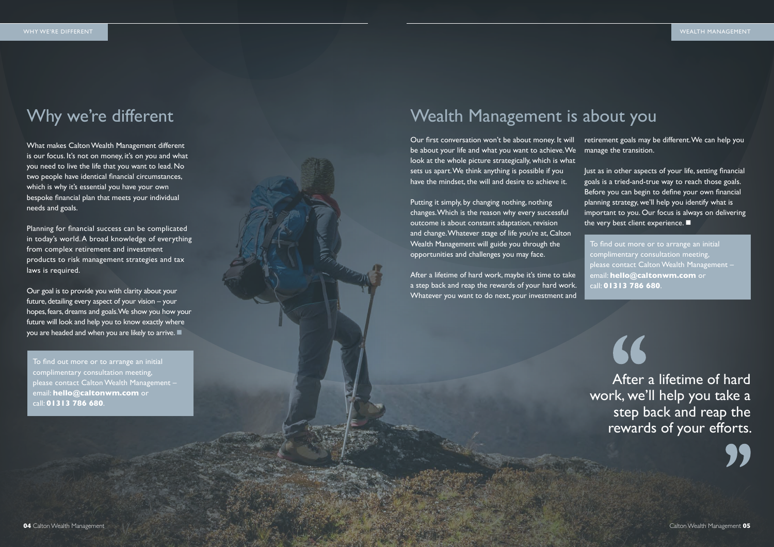What makes Calton Wealth Management different is our focus. It's not on money, it's on you and what you need to live the life that you want to lead. No two people have identical financial circumstances, which is why it's essential you have your own bespoke financial plan that meets your individual needs and goals.

Our goal is to provide you with clarity about your future, detailing every aspect of your vision – your hopes, fears, dreams and goals. We show you how your future will look and help you to know exactly where you are headed and when you are likely to arrive.  $\blacksquare$ 

Planning for financial success can be complicated in today's world. A broad knowledge of everything from complex retirement and investment products to risk management strategies and tax laws is required.

Before you can begin to define your own financial planning strategy, we'll help you identify what is important to you. Our focus is always on delivering the very best client experience.  $\blacksquare$ 

Putting it simply, by changing nothing, nothing changes. Which is the reason why every successful outcome is about constant adaptation, revision and change. Whatever stage of life you're at, Calton Wealth Management will guide you through the opportunities and challenges you may face.

Our first conversation won't be about money. It will be about your life and what you want to achieve.We look at the whole picture strategically, which is what sets us apart. We think anything is possible if you have the mindset, the will and desire to achieve it. retirement goals may be different. We can help you manage the transition. Just as in other aspects of your life, setting financial goals is a tried-and-true way to reach those goals.

After a lifetime of hard work, maybe it's time to take a step back and reap the rewards of your hard work. Whatever you want to do next, your investment and

To find out more or to arrange an initial complimentary consultation meeting, please contact Calton Wealth Management – email: **hello@caltonwm.com** or call: **01313 786 680**.

## Wealth Management is about you

To find out more or to arrange an initial complimentary consultation meeting, please contact Calton Wealth Management – email: **hello@caltonwm.com** or call: **01313 786 680**.

After a lifetime of hard work, we'll help you take a step back and reap the rewards of your efforts.

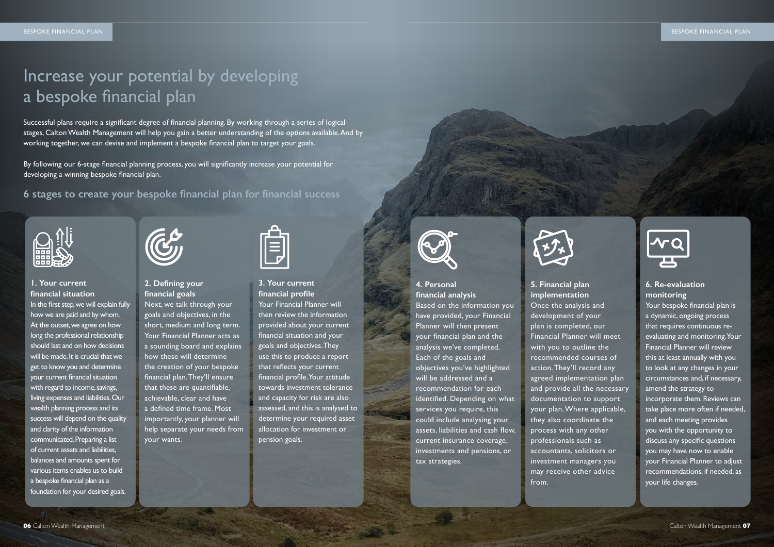Successful plans require a significant degree of financial planning. By working through a series of logical stages, Calton Wealth Management will help you gain a better understanding of the options available. And by working together, we can devise and implement a bespoke financial plan to target your goals.

By following our 6-stage financial planning process, you will significantly increase your potential for developing a winning bespoke financial plan.

**6 stages to create your bespoke financial plan for financial success**



## **4. Personal financial analysis** Based on the information you have provided, your Financial Planner will then present your financial plan and the analysis we've completed. Each of the goals and objectives you've highlighted will be addressed and a recommendation for each identified. Depending on what services you require, this could include analysing your assets, liabilities and cash flow, current insurance coverage, investments and pensions, or tax strategies.



Your bespoke financial plan is a dynamic, ongoing process that requires continuous reevaluating and monitoring. Your Financial Planner will review this at least annually with you to look at any changes in your circumstances and, if necessary, amend the strategy to incorporate them. Reviews can take place more often if needed, and each meeting provides you with the opportunity to discuss any specific questions you may have now to enable your Financial Planner to adjust recommendations, if needed, as your life changes.

**5. Financial plan implementation** Once the analysis and development of your plan is completed, our Financial Planner will meet with you to outline the recommended courses of action. They'll record any agreed implementation plan and provide all the necessary documentation to support your plan. Where applicable, they also coordinate the process with any other professionals such as accountants, solicitors or investment managers you may receive other advice from.

## **6. Re-evaluation monitoring**

## Increase your potential by developing a bespoke financial plan

## **3. Your current financial profile** Your Financial Planner will then review the information provided about your current financial situation and your goals and objectives. They use this to produce a report that reflects your current financial profile. Your attitude towards investment tolerance and capacity for risk are also assessed, and this is analysed to determine your required asset allocation for investment or pension goals.



## **2. Defining your financial goals**

Next, we talk through your goals and objectives, in the short, medium and long term. Your Financial Planner acts as a sounding board and explains how these will determine the creation of your bespoke financial plan. They'll ensure that these are quantifiable, achievable, clear and have a defined time frame. Most importantly, your planner will help separate your needs from your wants.



## **1. Your current financial situation** In the first step, we will explain fully how we are paid and by whom. At the outset, we agree on how long the professional relationship should last and on how decisions will be made. It is crucial that we get to know you and determine your current financial situation with regard to income, savings, living expenses and liabilities. Our wealth planning process and its success will depend on the quality and clarity of the information communicated. Preparing a list of current assets and liabilities, balances and amounts spent for various items enables us to build a bespoke financial plan as a foundation for your desired goals.

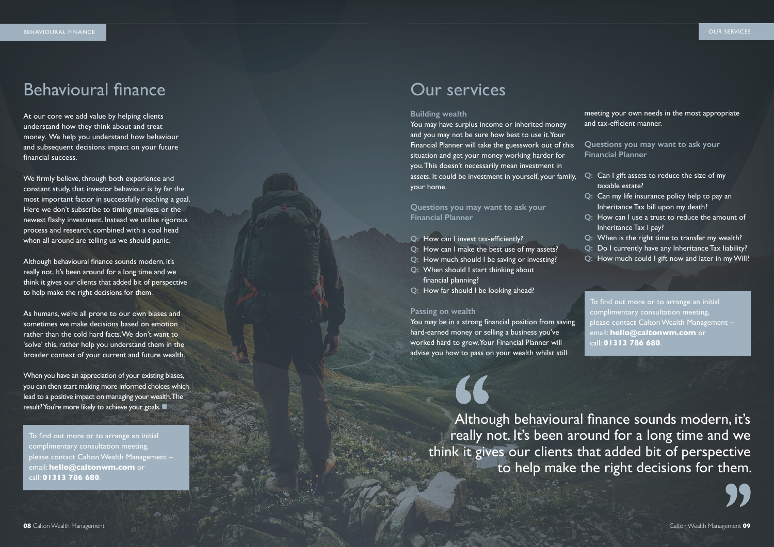## Behavioural finance **Calculation** Curvervices

At our core we add value by helping clients understand how they think about and treat money. We help you understand how behaviour and subsequent decisions impact on your future financial success.

We firmly believe, through both experience and constant study, that investor behaviour is by far the most important factor in successfully reaching a goal. Here we don't subscribe to timing markets or the newest flashy investment. Instead we utilise rigorous process and research, combined with a cool head when all around are telling us we should panic.

When you have an appreciation of your existing biases, you can then start making more informed choices which lead to a positive impact on managing your wealth. The result? You're more likely to achieve your goals.

Although behavioural finance sounds modern, it's really not. It's been around for a long time and we think it gives our clients that added bit of perspective to help make the right decisions for them.

As humans, we're all prone to our own biases and sometimes we make decisions based on emotion rather than the cold hard facts. We don't want to 'solve' this, rather help you understand them in the broader context of your current and future wealth.

### **Building wealth**

You may have surplus income or inherited money and you may not be sure how best to use it. Your Financial Planner will take the guesswork out of this situation and get your money working harder for you. This doesn't necessarily mean investment in assets. It could be investment in yourself, your family, your home.

**Questions you may want to ask your Financial Planner**

- **Q:** How can I invest tax-efficiently?
- **Q:** How can I make the best use of my assets?
- **Q:** How much should I be saving or investing?
- **Q:** When should I start thinking about financial planning?
- **Q:** How far should I be looking ahead?

### **Passing on wealth**

You may be in a strong financial position from saving hard-earned money or selling a business you've worked hard to grow. Your Financial Planner will advise you how to pass on your wealth whilst still

meeting your own needs in the most appropriate and tax-efficient manner.

**Questions you may want to ask your Financial Planner**

- **Q:** Can I gift assets to reduce the size of my taxable estate?
- **Q:** Can my life insurance policy help to pay an Inheritance Tax bill upon my death?
- **Q:** How can I use a trust to reduce the amount of Inheritance Tax I pay?
- **Q:** When is the right time to transfer my wealth?
- **Q:** Do I currently have any Inheritance Tax liability?
- **Q:** How much could I gift now and later in my Will?

To find out more or to arrange an initial complimentary consultation meeting, please contact Calton Wealth Management – email: **hello@caltonwm.com** or call: **01313 786 680**.

To find out more or to arrange an initial complimentary consultation meeting, please contact Calton Wealth Management – email: **hello@caltonwm.com** or call: **01313 786 680**.

Although behavioural finance sounds modern, it's really not. It's been around for a long time and we think it gives our clients that added bit of perspective to help make the right decisions for them.